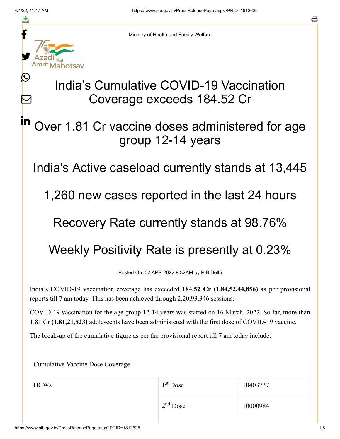≛

 $\bm{\nabla}$ 

in



Ministry of Health and Family Welfare

# India's Cumulative COVID-19 Vaccination Coverage exceeds 184.52 Cr

### Over 1.81 Cr vaccine doses administered for age group 12-14 years

India's Active caseload currently stands at 13,445

1,260 new cases reported in the last 24 hours

#### Recovery Rate currently stands at 98.76%

## Weekly Positivity Rate is presently at 0.23%

Posted On: 02 APR 2022 9:32AM by PIB Delhi

India's COVID-19 vaccination coverage has exceeded **184.52 Cr (1,84,52,44,856)** as per provisional reports till 7 am today. This has been achieved through 2,20,93,346 sessions.

COVID-19 vaccination for the age group 12-14 years was started on 16 March, 2022. So far, more than 1.81 Cr **(1,81,21,823)** adolescents have been administered with the first dose of COVID-19 vaccine.

The break-up of the cumulative figure as per the provisional report till 7 am today include:

Cumulative Vaccine Dose Coverage  $HCWs$  1<sup>st</sup> Dose 10403737 10000984 1<sup>st</sup> Dose  $2<sup>nd</sup>$  Dose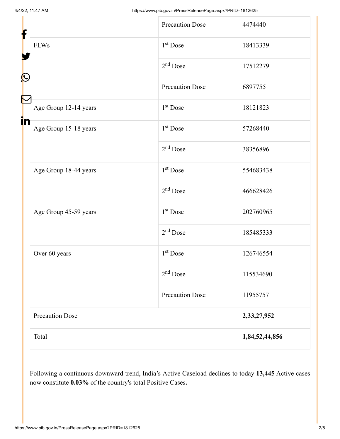| f                 |                        | <b>Precaution Dose</b> | 4474440        |
|-------------------|------------------------|------------------------|----------------|
|                   | <b>FLWs</b>            | $1st$ Dose             | 18413339       |
| $\mathbf{\Omega}$ |                        | $2nd$ Dose             | 17512279       |
|                   |                        | <b>Precaution Dose</b> | 6897755        |
| in                | Age Group 12-14 years  | 1 <sup>st</sup> Dose   | 18121823       |
|                   | Age Group 15-18 years  | 1 <sup>st</sup> Dose   | 57268440       |
|                   |                        | $2nd$ Dose             | 38356896       |
|                   | Age Group 18-44 years  | $1st$ Dose             | 554683438      |
|                   |                        | $2nd$ Dose             | 466628426      |
|                   | Age Group 45-59 years  | 1 <sup>st</sup> Dose   | 202760965      |
|                   |                        | $2nd$ Dose             | 185485333      |
|                   | Over 60 years          | 1 <sup>st</sup> Dose   | 126746554      |
|                   |                        | $2nd$ Dose             | 115534690      |
|                   |                        | <b>Precaution Dose</b> | 11955757       |
|                   | <b>Precaution Dose</b> |                        | 2,33,27,952    |
|                   | Total                  |                        | 1,84,52,44,856 |

Following a continuous downward trend, India's Active Caseload declines to today **13,445** Active cases now constitute **0.03%** of the country's total Positive Cases**.**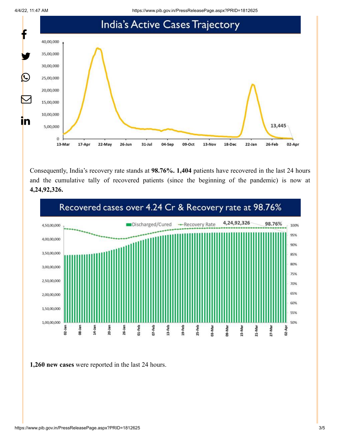

Consequently, India's recovery rate stands at **98.76%. 1,404** patients have recovered in the last 24 hours and the cumulative tally of recovered patients (since the beginning of the pandemic) is now at **4,24,92,326.**



**1,260 new cases** were reported in the last 24 hours.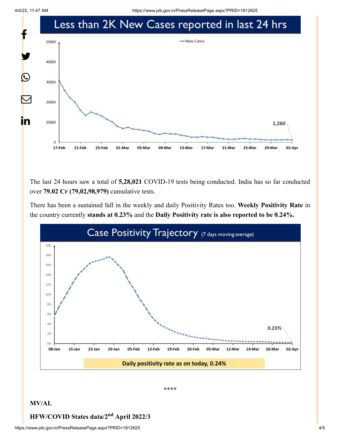

The last 24 hours saw a total of **5,28,021** COVID-19 tests being conducted. India has so far conducted over **79.02 Cr (79,02,98,979)** cumulative tests.

There has been a sustained fall in the weekly and daily Positivity Rates too. **Weekly Positivity Rate** in the country currently **stands at 0.23%** and the **Daily Positivity rate is also reported to be 0.24%.**



\*\*\*\*

#### **MV/AL**

#### **HFW/COVID States data/2<sup>nd</sup> April 2022/3**